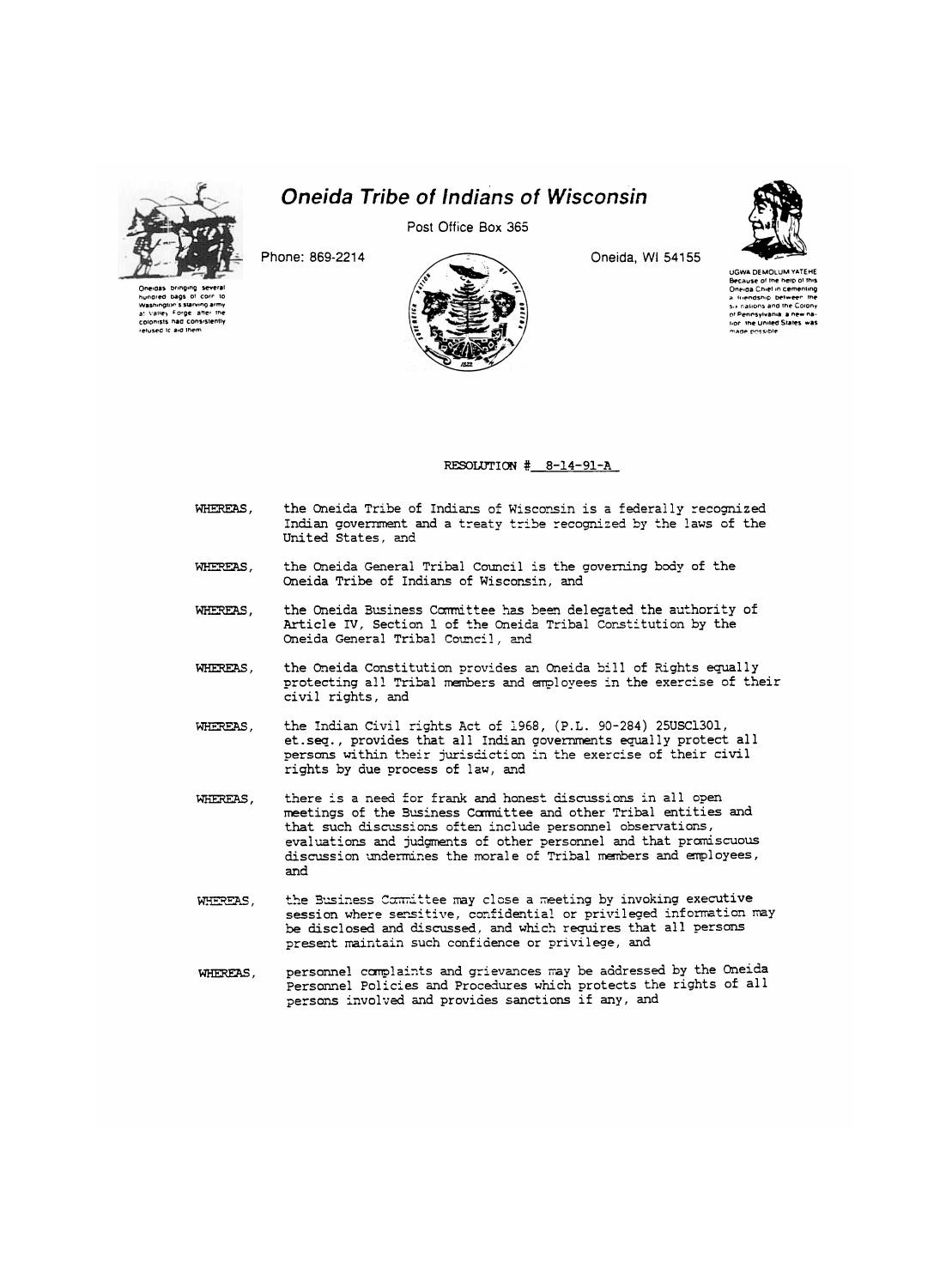

hundred bags of corr Washington's starving army at Valley Forge after the<br>colonists had consistently relused Ic aid them

**Oneida Tribe of Indians of Wisconsin** 

Post Office Box 365

Phone: 869-2214



Oneida, WI 54155



**UGWA DEMOLUM YATEHE** Because of the help of this<br>Oneiga Chief in cementing a friendship between the a intendship between the<br>Six nations and the Colony<br>of Pennsylvania, a new nation, the United States, was made possible

## RESOLUTION # 8-14-91-A

- the Oneida Tribe of Indians of Wisconsin is a federally recognized WHEREAS, Indian government and a treaty tribe recognized by the laws of the United States, and
- the Oneida General Tribal Council is the governing body of the WHEREAS. Oneida Tribe of Indians of Wisconsin, and
- the Oneida Business Committee has been delegated the authority of WHEREAS. Article IV, Section 1 of the Oneida Tribal Constitution by the Oneida General Tribal Council, and
- WHEREAS. the Oneida Constitution provides an Oneida bill of Rights equally protecting all Tribal members and employees in the exercise of their civil rights, and
- the Indian Civil rights Act of 1968, (P.L. 90-284) 25USC1301, WHEREAS, et.seq., provides that all Indian governments equally protect all persons within their jurisdiction in the exercise of their civil rights by due process of law, and
- there is a need for frank and honest discussions in all open WHEREAS, meetings of the Business Carmittee and other Tribal entities and that such discussions often include personnel observations, evaluations and judgments of other personnel and that promiscuous discussion undermines the morale of Tribal members and employees, and
- the Business Committee may close a meeting by invoking executive WHEREAS, session where sensitive, confidential or privileged information may be disclosed and discussed, and which requires that all persons present maintain such confidence or privilege, and
- personnel complaints and grievances may be addressed by the Oneida WHEREAS, Personnel Policies and Procedures which protects the rights of all persons involved and provides sanctions if any, and